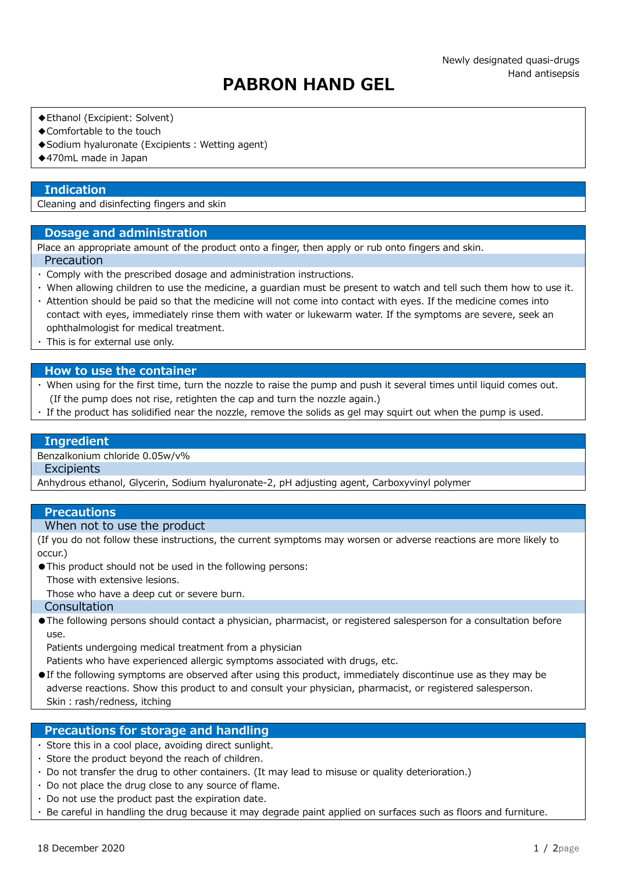# PABRON HAND GEL

- ◆Ethanol (Excipient: Solvent)
- ◆Comfortable to the touch
- ◆ Sodium hyaluronate (Excipients : Wetting agent)
- ◆470mL made in Japan

## **Indication**

Cleaning and disinfecting fingers and skin

## Dosage and administration

Place an appropriate amount of the product onto a finger, then apply or rub onto fingers and skin. Precaution

- ・ Comply with the prescribed dosage and administration instructions.
- ・ When allowing children to use the medicine, a guardian must be present to watch and tell such them how to use it. ・ Attention should be paid so that the medicine will not come into contact with eyes. If the medicine comes into
- contact with eyes, immediately rinse them with water or lukewarm water. If the symptoms are severe, seek an ophthalmologist for medical treatment.
- ・ This is for external use only.

#### How to use the container

- ・ When using for the first time, turn the nozzle to raise the pump and push it several times until liquid comes out. (If the pump does not rise, retighten the cap and turn the nozzle again.)
- ・ If the product has solidified near the nozzle, remove the solids as gel may squirt out when the pump is used.

#### Ingredient

#### Benzalkonium chloride 0.05w/v%

## **Excipients**

Anhydrous ethanol, Glycerin, Sodium hyaluronate-2, pH adjusting agent, Carboxyvinyl polymer

### **Precautions**

# When not to use the product

(If you do not follow these instructions, the current symptoms may worsen or adverse reactions are more likely to occur.)

●This product should not be used in the following persons:

Those with extensive lesions.

Those who have a deep cut or severe burn.

## Consultation

●The following persons should contact a physician, pharmacist, or registered salesperson for a consultation before use.

Patients undergoing medical treatment from a physician

Patients who have experienced allergic symptoms associated with drugs, etc.

●If the following symptoms are observed after using this product, immediately discontinue use as they may be adverse reactions. Show this product to and consult your physician, pharmacist, or registered salesperson. Skin: rash/redness, itching

# Precautions for storage and handling

- ・ Store this in a cool place, avoiding direct sunlight.
- ・ Store the product beyond the reach of children.
- ・ Do not transfer the drug to other containers. (It may lead to misuse or quality deterioration.)
- ・ Do not place the drug close to any source of flame.
- ・ Do not use the product past the expiration date.
- ・ Be careful in handling the drug because it may degrade paint applied on surfaces such as floors and furniture.